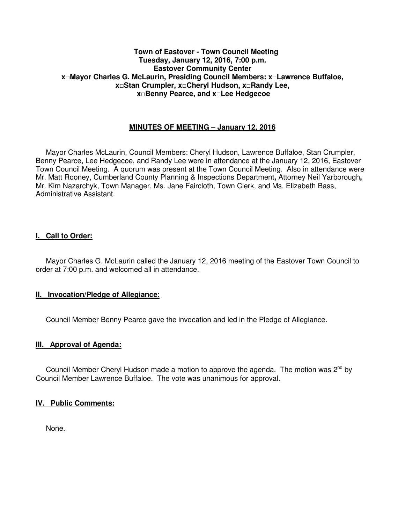#### **Town of Eastover - Town Council Meeting Tuesday, January 12, 2016, 7:00 p.m. Eastover Community Center x□Mayor Charles G. McLaurin, Presiding Council Members: x□Lawrence Buffaloe, x□Stan Crumpler, x□Cheryl Hudson, x□Randy Lee, x□Benny Pearce, and x□Lee Hedgecoe**

## **MINUTES OF MEETING – January 12, 2016**

 Mayor Charles McLaurin, Council Members: Cheryl Hudson, Lawrence Buffaloe, Stan Crumpler, Benny Pearce, Lee Hedgecoe, and Randy Lee were in attendance at the January 12, 2016, Eastover Town Council Meeting. A quorum was present at the Town Council Meeting. Also in attendance were Mr. Matt Rooney, Cumberland County Planning & Inspections Department**,** Attorney Neil Yarborough**,**  Mr. Kim Nazarchyk, Town Manager, Ms. Jane Faircloth, Town Clerk, and Ms. Elizabeth Bass, Administrative Assistant.

#### **I. Call to Order:**

 Mayor Charles G. McLaurin called the January 12, 2016 meeting of the Eastover Town Council to order at 7:00 p.m. and welcomed all in attendance.

### **II. Invocation/Pledge of Allegiance**:

Council Member Benny Pearce gave the invocation and led in the Pledge of Allegiance.

#### **III. Approval of Agenda:**

Council Member Cheryl Hudson made a motion to approve the agenda. The motion was  $2^{nd}$  by Council Member Lawrence Buffaloe. The vote was unanimous for approval.

#### **IV. Public Comments:**

None.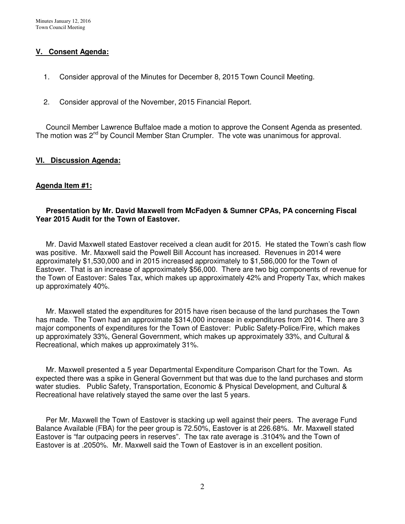## **V. Consent Agenda:**

- 1. Consider approval of the Minutes for December 8, 2015 Town Council Meeting.
- 2. Consider approval of the November, 2015 Financial Report.

 Council Member Lawrence Buffaloe made a motion to approve the Consent Agenda as presented. The motion was 2<sup>nd</sup> by Council Member Stan Crumpler. The vote was unanimous for approval.

### **VI. Discussion Agenda:**

#### **Agenda Item #1:**

#### **Presentation by Mr. David Maxwell from McFadyen & Sumner CPAs, PA concerning Fiscal Year 2015 Audit for the Town of Eastover.**

Mr. David Maxwell stated Eastover received a clean audit for 2015. He stated the Town's cash flow was positive. Mr. Maxwell said the Powell Bill Account has increased. Revenues in 2014 were approximately \$1,530,000 and in 2015 increased approximately to \$1,586,000 for the Town of Eastover. That is an increase of approximately \$56,000. There are two big components of revenue for the Town of Eastover: Sales Tax, which makes up approximately 42% and Property Tax, which makes up approximately 40%.

 Mr. Maxwell stated the expenditures for 2015 have risen because of the land purchases the Town has made. The Town had an approximate \$314,000 increase in expenditures from 2014. There are 3 major components of expenditures for the Town of Eastover: Public Safety-Police/Fire, which makes up approximately 33%, General Government, which makes up approximately 33%, and Cultural & Recreational, which makes up approximately 31%.

 Mr. Maxwell presented a 5 year Departmental Expenditure Comparison Chart for the Town. As expected there was a spike in General Government but that was due to the land purchases and storm water studies. Public Safety, Transportation, Economic & Physical Development, and Cultural & Recreational have relatively stayed the same over the last 5 years.

 Per Mr. Maxwell the Town of Eastover is stacking up well against their peers. The average Fund Balance Available (FBA) for the peer group is 72.50%, Eastover is at 226.68%. Mr. Maxwell stated Eastover is "far outpacing peers in reserves". The tax rate average is .3104% and the Town of Eastover is at .2050%. Mr. Maxwell said the Town of Eastover is in an excellent position.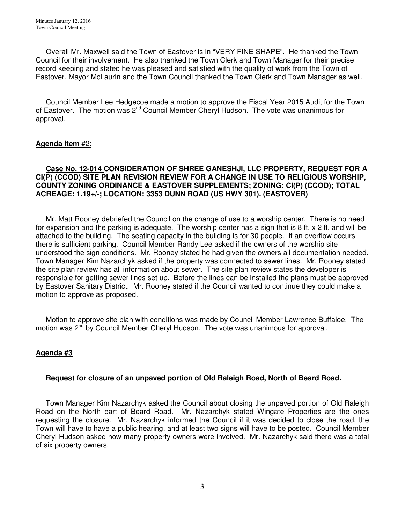Overall Mr. Maxwell said the Town of Eastover is in "VERY FINE SHAPE". He thanked the Town Council for their involvement. He also thanked the Town Clerk and Town Manager for their precise record keeping and stated he was pleased and satisfied with the quality of work from the Town of Eastover. Mayor McLaurin and the Town Council thanked the Town Clerk and Town Manager as well.

 Council Member Lee Hedgecoe made a motion to approve the Fiscal Year 2015 Audit for the Town of Eastover. The motion was 2<sup>nd</sup> Council Member Cheryl Hudson. The vote was unanimous for approval.

## **Agenda Item** #2:

#### **Case No. 12-014 CONSIDERATION OF SHREE GANESHJI, LLC PROPERTY, REQUEST FOR A CI(P) (CCOD) SITE PLAN REVISION REVIEW FOR A CHANGE IN USE TO RELIGIOUS WORSHIP, COUNTY ZONING ORDINANCE & EASTOVER SUPPLEMENTS; ZONING: CI(P) (CCOD); TOTAL ACREAGE: 1.19+/-; LOCATION: 3353 DUNN ROAD (US HWY 301). (EASTOVER)**

 Mr. Matt Rooney debriefed the Council on the change of use to a worship center. There is no need for expansion and the parking is adequate. The worship center has a sign that is 8 ft. x 2 ft. and will be attached to the building. The seating capacity in the building is for 30 people. If an overflow occurs there is sufficient parking. Council Member Randy Lee asked if the owners of the worship site understood the sign conditions. Mr. Rooney stated he had given the owners all documentation needed. Town Manager Kim Nazarchyk asked if the property was connected to sewer lines. Mr. Rooney stated the site plan review has all information about sewer. The site plan review states the developer is responsible for getting sewer lines set up. Before the lines can be installed the plans must be approved by Eastover Sanitary District. Mr. Rooney stated if the Council wanted to continue they could make a motion to approve as proposed.

 Motion to approve site plan with conditions was made by Council Member Lawrence Buffaloe. The motion was 2<sup>nd</sup> by Council Member Cheryl Hudson. The vote was unanimous for approval.

### **Agenda #3**

### **Request for closure of an unpaved portion of Old Raleigh Road, North of Beard Road.**

Town Manager Kim Nazarchyk asked the Council about closing the unpaved portion of Old Raleigh Road on the North part of Beard Road. Mr. Nazarchyk stated Wingate Properties are the ones requesting the closure. Mr. Nazarchyk informed the Council if it was decided to close the road, the Town will have to have a public hearing, and at least two signs will have to be posted. Council Member Cheryl Hudson asked how many property owners were involved. Mr. Nazarchyk said there was a total of six property owners.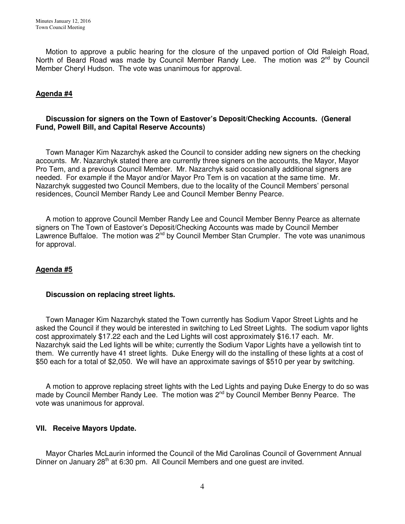Motion to approve a public hearing for the closure of the unpaved portion of Old Raleigh Road, North of Beard Road was made by Council Member Randy Lee. The motion was  $2^{nd}$  by Council Member Cheryl Hudson. The vote was unanimous for approval.

### **Agenda #4**

### **Discussion for signers on the Town of Eastover's Deposit/Checking Accounts. (General Fund, Powell Bill, and Capital Reserve Accounts)**

Town Manager Kim Nazarchyk asked the Council to consider adding new signers on the checking accounts. Mr. Nazarchyk stated there are currently three signers on the accounts, the Mayor, Mayor Pro Tem, and a previous Council Member. Mr. Nazarchyk said occasionally additional signers are needed. For example if the Mayor and/or Mayor Pro Tem is on vacation at the same time. Mr. Nazarchyk suggested two Council Members, due to the locality of the Council Members' personal residences, Council Member Randy Lee and Council Member Benny Pearce.

 A motion to approve Council Member Randy Lee and Council Member Benny Pearce as alternate signers on The Town of Eastover's Deposit/Checking Accounts was made by Council Member Lawrence Buffaloe. The motion was 2<sup>nd</sup> by Council Member Stan Crumpler. The vote was unanimous for approval.

### **Agenda #5**

### **Discussion on replacing street lights.**

Town Manager Kim Nazarchyk stated the Town currently has Sodium Vapor Street Lights and he asked the Council if they would be interested in switching to Led Street Lights. The sodium vapor lights cost approximately \$17.22 each and the Led Lights will cost approximately \$16.17 each. Mr. Nazarchyk said the Led lights will be white; currently the Sodium Vapor Lights have a yellowish tint to them. We currently have 41 street lights. Duke Energy will do the installing of these lights at a cost of \$50 each for a total of \$2,050. We will have an approximate savings of \$510 per year by switching.

 A motion to approve replacing street lights with the Led Lights and paying Duke Energy to do so was made by Council Member Randy Lee. The motion was 2<sup>nd</sup> by Council Member Benny Pearce. The vote was unanimous for approval.

### **VII. Receive Mayors Update.**

 Mayor Charles McLaurin informed the Council of the Mid Carolinas Council of Government Annual Dinner on January 28<sup>th</sup> at 6:30 pm. All Council Members and one guest are invited.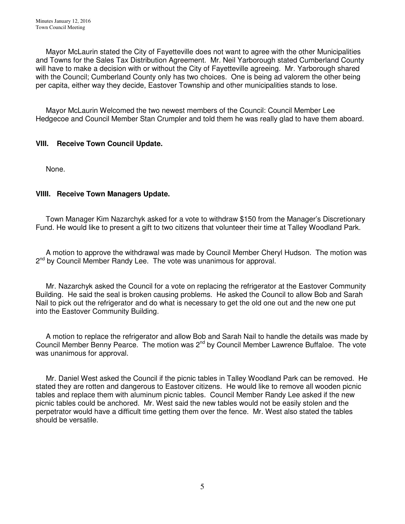Mayor McLaurin stated the City of Fayetteville does not want to agree with the other Municipalities and Towns for the Sales Tax Distribution Agreement. Mr. Neil Yarborough stated Cumberland County will have to make a decision with or without the City of Fayetteville agreeing. Mr. Yarborough shared with the Council; Cumberland County only has two choices. One is being ad valorem the other being per capita, either way they decide, Eastover Township and other municipalities stands to lose.

 Mayor McLaurin Welcomed the two newest members of the Council: Council Member Lee Hedgecoe and Council Member Stan Crumpler and told them he was really glad to have them aboard.

# **VIII. Receive Town Council Update.**

None.

# **VIIII. Receive Town Managers Update.**

 Town Manager Kim Nazarchyk asked for a vote to withdraw \$150 from the Manager's Discretionary Fund. He would like to present a gift to two citizens that volunteer their time at Talley Woodland Park.

 A motion to approve the withdrawal was made by Council Member Cheryl Hudson. The motion was 2<sup>nd</sup> by Council Member Randy Lee. The vote was unanimous for approval.

 Mr. Nazarchyk asked the Council for a vote on replacing the refrigerator at the Eastover Community Building. He said the seal is broken causing problems. He asked the Council to allow Bob and Sarah Nail to pick out the refrigerator and do what is necessary to get the old one out and the new one put into the Eastover Community Building.

 A motion to replace the refrigerator and allow Bob and Sarah Nail to handle the details was made by Council Member Benny Pearce. The motion was 2nd by Council Member Lawrence Buffaloe. The vote was unanimous for approval.

 Mr. Daniel West asked the Council if the picnic tables in Talley Woodland Park can be removed. He stated they are rotten and dangerous to Eastover citizens. He would like to remove all wooden picnic tables and replace them with aluminum picnic tables. Council Member Randy Lee asked if the new picnic tables could be anchored. Mr. West said the new tables would not be easily stolen and the perpetrator would have a difficult time getting them over the fence. Mr. West also stated the tables should be versatile.